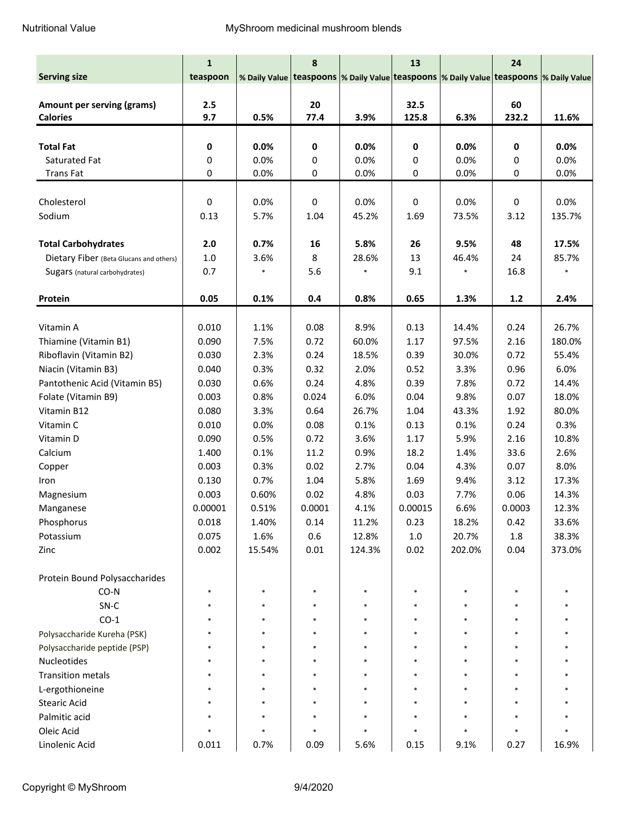|                                         | $\mathbf{1}$ |                                                                                                | 8      |        | 13          |        | 24     |        |
|-----------------------------------------|--------------|------------------------------------------------------------------------------------------------|--------|--------|-------------|--------|--------|--------|
| <b>Serving size</b>                     | teaspoon     | % Daily Value   teaspoons  % Daily Value   teaspoons  % Daily Value   teaspoons  % Daily Value |        |        |             |        |        |        |
|                                         |              |                                                                                                |        |        |             |        |        |        |
| Amount per serving (grams)              | 2.5          |                                                                                                | 20     |        | 32.5        |        | 60     |        |
| <b>Calories</b>                         | 9.7          | 0.5%                                                                                           | 77.4   | 3.9%   | 125.8       | 6.3%   | 232.2  | 11.6%  |
|                                         |              |                                                                                                |        |        |             |        |        |        |
| <b>Total Fat</b>                        | $\mathbf 0$  | 0.0%                                                                                           | 0      | 0.0%   | $\mathbf 0$ | 0.0%   | 0      | 0.0%   |
| Saturated Fat                           | 0            | 0.0%                                                                                           | 0      | 0.0%   | 0           | 0.0%   | 0      | 0.0%   |
| <b>Trans Fat</b>                        | 0            | 0.0%                                                                                           | 0      | 0.0%   | 0           | 0.0%   | 0      | 0.0%   |
|                                         |              |                                                                                                |        |        |             |        |        |        |
| Cholesterol                             | $\pmb{0}$    | 0.0%                                                                                           | 0      | 0.0%   | $\mathbf 0$ | 0.0%   | 0      | 0.0%   |
| Sodium                                  | 0.13         | 5.7%                                                                                           | 1.04   | 45.2%  | 1.69        | 73.5%  | 3.12   | 135.7% |
|                                         |              |                                                                                                |        |        |             |        |        |        |
| <b>Total Carbohydrates</b>              | 2.0          | 0.7%                                                                                           | 16     | 5.8%   | 26          | 9.5%   | 48     | 17.5%  |
| Dietary Fiber (Beta Glucans and others) | $1.0\,$      | 3.6%                                                                                           | 8      | 28.6%  | 13          | 46.4%  | 24     | 85.7%  |
| Sugars (natural carbohydrates)          | 0.7          |                                                                                                | 5.6    |        | 9.1         |        | 16.8   |        |
|                                         |              |                                                                                                |        |        |             |        |        |        |
| Protein                                 | 0.05         | 0.1%                                                                                           | 0.4    | 0.8%   | 0.65        | 1.3%   | $1.2$  | 2.4%   |
| Vitamin A                               | 0.010        | 1.1%                                                                                           | 0.08   | 8.9%   | 0.13        | 14.4%  | 0.24   | 26.7%  |
| Thiamine (Vitamin B1)                   | 0.090        | 7.5%                                                                                           | 0.72   | 60.0%  | 1.17        | 97.5%  | 2.16   | 180.0% |
| Riboflavin (Vitamin B2)                 | 0.030        | 2.3%                                                                                           | 0.24   | 18.5%  | 0.39        | 30.0%  | 0.72   | 55.4%  |
| Niacin (Vitamin B3)                     | 0.040        | 0.3%                                                                                           | 0.32   | 2.0%   | 0.52        | 3.3%   | 0.96   | 6.0%   |
| Pantothenic Acid (Vitamin B5)           | 0.030        | 0.6%                                                                                           | 0.24   | 4.8%   | 0.39        | 7.8%   | 0.72   | 14.4%  |
| Folate (Vitamin B9)                     | 0.003        | 0.8%                                                                                           | 0.024  | 6.0%   | 0.04        | 9.8%   | 0.07   | 18.0%  |
| Vitamin B12                             | 0.080        | 3.3%                                                                                           | 0.64   | 26.7%  | 1.04        | 43.3%  | 1.92   | 80.0%  |
| Vitamin C                               | 0.010        | 0.0%                                                                                           | 0.08   | 0.1%   | 0.13        | 0.1%   | 0.24   | 0.3%   |
| Vitamin D                               | 0.090        | 0.5%                                                                                           | 0.72   | 3.6%   | 1.17        | 5.9%   | 2.16   | 10.8%  |
| Calcium                                 | 1.400        | 0.1%                                                                                           | 11.2   | 0.9%   | 18.2        | 1.4%   | 33.6   | 2.6%   |
| Copper                                  | 0.003        | 0.3%                                                                                           | 0.02   | 2.7%   | 0.04        | 4.3%   | 0.07   | 8.0%   |
| Iron                                    | 0.130        | 0.7%                                                                                           | 1.04   | 5.8%   | 1.69        | 9.4%   | 3.12   | 17.3%  |
| Magnesium                               | 0.003        | 0.60%                                                                                          | 0.02   | 4.8%   | 0.03        | 7.7%   | 0.06   | 14.3%  |
| Manganese                               | 0.00001      | 0.51%                                                                                          | 0.0001 | 4.1%   | 0.00015     | 6.6%   | 0.0003 | 12.3%  |
| Phosphorus                              | 0.018        | 1.40%                                                                                          | 0.14   | 11.2%  | 0.23        | 18.2%  | 0.42   | 33.6%  |
| Potassium                               | 0.075        | 1.6%                                                                                           | 0.6    | 12.8%  | $1.0\,$     | 20.7%  | 1.8    | 38.3%  |
| Zinc                                    | 0.002        | 15.54%                                                                                         | 0.01   | 124.3% | 0.02        | 202.0% | 0.04   | 373.0% |
|                                         |              |                                                                                                |        |        |             |        |        |        |
| Protein Bound Polysaccharides           |              |                                                                                                |        |        |             |        |        |        |
| $CO-N$                                  |              |                                                                                                |        |        |             |        |        |        |
| SN-C                                    |              |                                                                                                |        |        |             |        | $\ast$ |        |
| $CO-1$                                  |              |                                                                                                |        |        |             |        |        |        |
| Polysaccharide Kureha (PSK)             |              |                                                                                                |        |        |             |        |        |        |
| Polysaccharide peptide (PSP)            |              |                                                                                                |        |        |             |        |        |        |
| Nucleotides                             |              |                                                                                                |        |        |             |        |        |        |
| <b>Transition metals</b>                |              |                                                                                                |        |        |             |        |        |        |
| L-ergothioneine                         |              |                                                                                                |        |        |             |        |        |        |
| <b>Stearic Acid</b>                     |              |                                                                                                |        |        |             |        |        |        |
| Palmitic acid                           |              |                                                                                                |        |        |             |        |        |        |
| Oleic Acid                              |              | $\ast$                                                                                         |        | $\ast$ |             | $\ast$ | $\ast$ |        |
| Linolenic Acid                          | 0.011        | 0.7%                                                                                           | 0.09   | 5.6%   | 0.15        | 9.1%   | 0.27   | 16.9%  |